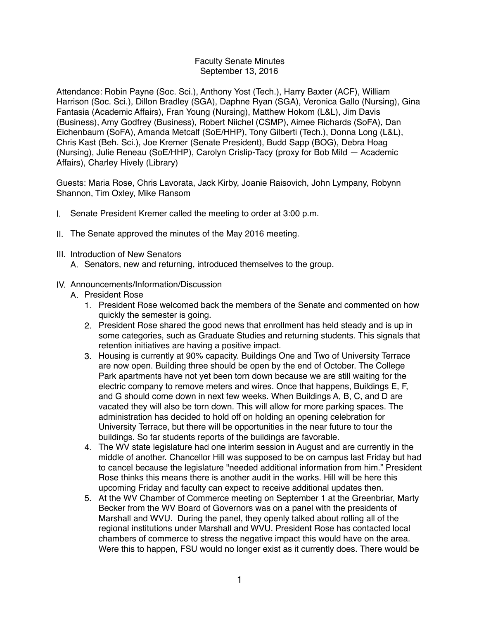## Faculty Senate Minutes September 13, 2016

Attendance: Robin Payne (Soc. Sci.), Anthony Yost (Tech.), Harry Baxter (ACF), William Harrison (Soc. Sci.), Dillon Bradley (SGA), Daphne Ryan (SGA), Veronica Gallo (Nursing), Gina Fantasia (Academic Affairs), Fran Young (Nursing), Matthew Hokom (L&L), Jim Davis (Business), Amy Godfrey (Business), Robert Niichel (CSMP), Aimee Richards (SoFA), Dan Eichenbaum (SoFA), Amanda Metcalf (SoE/HHP), Tony Gilberti (Tech.), Donna Long (L&L), Chris Kast (Beh. Sci.), Joe Kremer (Senate President), Budd Sapp (BOG), Debra Hoag (Nursing), Julie Reneau (SoE/HHP), Carolyn Crislip-Tacy (proxy for Bob Mild — Academic Affairs), Charley Hively (Library)

Guests: Maria Rose, Chris Lavorata, Jack Kirby, Joanie Raisovich, John Lympany, Robynn Shannon, Tim Oxley, Mike Ransom

- I. Senate President Kremer called the meeting to order at 3:00 p.m.
- II. The Senate approved the minutes of the May 2016 meeting.
- III. Introduction of New Senators
	- A. Senators, new and returning, introduced themselves to the group.
- IV. Announcements/Information/Discussion
	- A. President Rose
		- 1. President Rose welcomed back the members of the Senate and commented on how quickly the semester is going.
		- 2. President Rose shared the good news that enrollment has held steady and is up in some categories, such as Graduate Studies and returning students. This signals that retention initiatives are having a positive impact.
		- 3. Housing is currently at 90% capacity. Buildings One and Two of University Terrace are now open. Building three should be open by the end of October. The College Park apartments have not yet been torn down because we are still waiting for the electric company to remove meters and wires. Once that happens, Buildings E, F, and G should come down in next few weeks. When Buildings A, B, C, and D are vacated they will also be torn down. This will allow for more parking spaces. The administration has decided to hold off on holding an opening celebration for University Terrace, but there will be opportunities in the near future to tour the buildings. So far students reports of the buildings are favorable.
		- 4. The WV state legislature had one interim session in August and are currently in the middle of another. Chancellor Hill was supposed to be on campus last Friday but had to cancel because the legislature "needed additional information from him." President Rose thinks this means there is another audit in the works. Hill will be here this upcoming Friday and faculty can expect to receive additional updates then.
		- 5. At the WV Chamber of Commerce meeting on September 1 at the Greenbriar, Marty Becker from the WV Board of Governors was on a panel with the presidents of Marshall and WVU. During the panel, they openly talked about rolling all of the regional institutions under Marshall and WVU. President Rose has contacted local chambers of commerce to stress the negative impact this would have on the area. Were this to happen, FSU would no longer exist as it currently does. There would be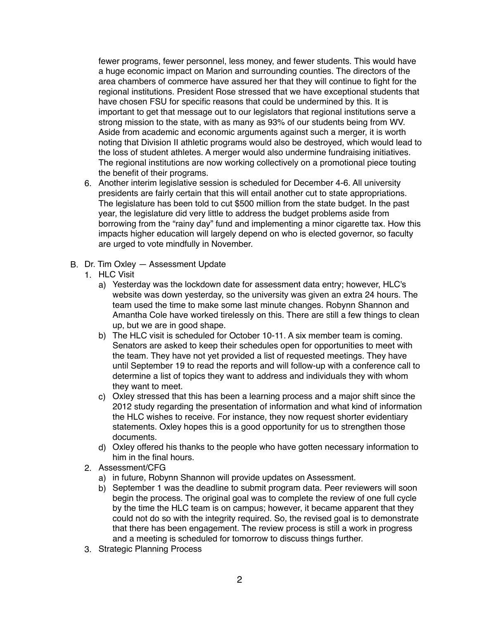fewer programs, fewer personnel, less money, and fewer students. This would have a huge economic impact on Marion and surrounding counties. The directors of the area chambers of commerce have assured her that they will continue to fight for the regional institutions. President Rose stressed that we have exceptional students that have chosen FSU for specific reasons that could be undermined by this. It is important to get that message out to our legislators that regional institutions serve a strong mission to the state, with as many as 93% of our students being from WV. Aside from academic and economic arguments against such a merger, it is worth noting that Division II athletic programs would also be destroyed, which would lead to the loss of student athletes. A merger would also undermine fundraising initiatives. The regional institutions are now working collectively on a promotional piece touting the benefit of their programs.

- 6. Another interim legislative session is scheduled for December 4-6. All university presidents are fairly certain that this will entail another cut to state appropriations. The legislature has been told to cut \$500 million from the state budget. In the past year, the legislature did very little to address the budget problems aside from borrowing from the "rainy day" fund and implementing a minor cigarette tax. How this impacts higher education will largely depend on who is elected governor, so faculty are urged to vote mindfully in November.
- B. Dr. Tim Oxley Assessment Update
	- 1. HLC Visit
		- a) Yesterday was the lockdown date for assessment data entry; however, HLC's website was down yesterday, so the university was given an extra 24 hours. The team used the time to make some last minute changes. Robynn Shannon and Amantha Cole have worked tirelessly on this. There are still a few things to clean up, but we are in good shape.
		- b) The HLC visit is scheduled for October 10-11. A six member team is coming. Senators are asked to keep their schedules open for opportunities to meet with the team. They have not yet provided a list of requested meetings. They have until September 19 to read the reports and will follow-up with a conference call to determine a list of topics they want to address and individuals they with whom they want to meet.
		- c) Oxley stressed that this has been a learning process and a major shift since the 2012 study regarding the presentation of information and what kind of information the HLC wishes to receive. For instance, they now request shorter evidentiary statements. Oxley hopes this is a good opportunity for us to strengthen those documents.
		- d) Oxley offered his thanks to the people who have gotten necessary information to him in the final hours.
	- 2. Assessment/CFG
		- a) in future, Robynn Shannon will provide updates on Assessment.
		- b) September 1 was the deadline to submit program data. Peer reviewers will soon begin the process. The original goal was to complete the review of one full cycle by the time the HLC team is on campus; however, it became apparent that they could not do so with the integrity required. So, the revised goal is to demonstrate that there has been engagement. The review process is still a work in progress and a meeting is scheduled for tomorrow to discuss things further.
	- 3. Strategic Planning Process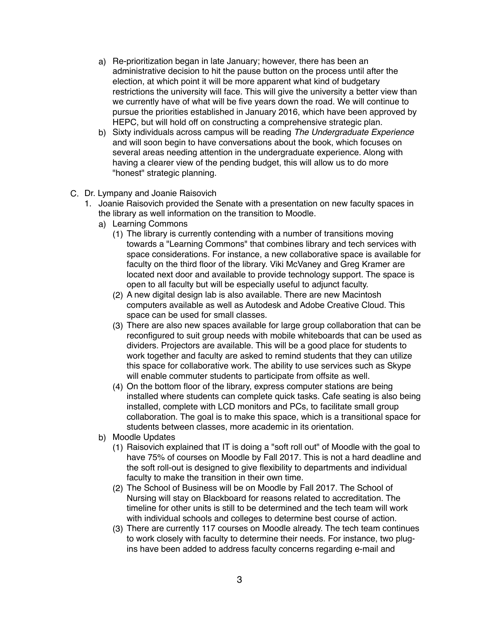- a) Re-prioritization began in late January; however, there has been an administrative decision to hit the pause button on the process until after the election, at which point it will be more apparent what kind of budgetary restrictions the university will face. This will give the university a better view than we currently have of what will be five years down the road. We will continue to pursue the priorities established in January 2016, which have been approved by HEPC, but will hold off on constructing a comprehensive strategic plan.
- b) Sixty individuals across campus will be reading *The Undergraduate Experience*  and will soon begin to have conversations about the book, which focuses on several areas needing attention in the undergraduate experience. Along with having a clearer view of the pending budget, this will allow us to do more "honest" strategic planning.
- C. Dr. Lympany and Joanie Raisovich
	- 1. Joanie Raisovich provided the Senate with a presentation on new faculty spaces in the library as well information on the transition to Moodle.
		- a) Learning Commons
			- (1) The library is currently contending with a number of transitions moving towards a "Learning Commons" that combines library and tech services with space considerations. For instance, a new collaborative space is available for faculty on the third floor of the library. Viki McVaney and Greg Kramer are located next door and available to provide technology support. The space is open to all faculty but will be especially useful to adjunct faculty.
			- (2) A new digital design lab is also available. There are new Macintosh computers available as well as Autodesk and Adobe Creative Cloud. This space can be used for small classes.
			- (3) There are also new spaces available for large group collaboration that can be reconfigured to suit group needs with mobile whiteboards that can be used as dividers. Projectors are available. This will be a good place for students to work together and faculty are asked to remind students that they can utilize this space for collaborative work. The ability to use services such as Skype will enable commuter students to participate from offsite as well.
			- (4) On the bottom floor of the library, express computer stations are being installed where students can complete quick tasks. Cafe seating is also being installed, complete with LCD monitors and PCs, to facilitate small group collaboration. The goal is to make this space, which is a transitional space for students between classes, more academic in its orientation.
		- b) Moodle Updates
			- (1) Raisovich explained that IT is doing a "soft roll out" of Moodle with the goal to have 75% of courses on Moodle by Fall 2017. This is not a hard deadline and the soft roll-out is designed to give flexibility to departments and individual faculty to make the transition in their own time.
			- (2) The School of Business will be on Moodle by Fall 2017. The School of Nursing will stay on Blackboard for reasons related to accreditation. The timeline for other units is still to be determined and the tech team will work with individual schools and colleges to determine best course of action.
			- (3) There are currently 117 courses on Moodle already. The tech team continues to work closely with faculty to determine their needs. For instance, two plugins have been added to address faculty concerns regarding e-mail and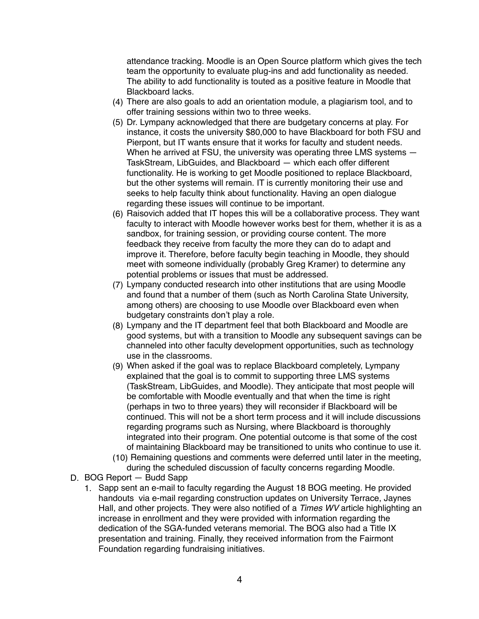attendance tracking. Moodle is an Open Source platform which gives the tech team the opportunity to evaluate plug-ins and add functionality as needed. The ability to add functionality is touted as a positive feature in Moodle that Blackboard lacks.

- (4) There are also goals to add an orientation module, a plagiarism tool, and to offer training sessions within two to three weeks.
- (5) Dr. Lympany acknowledged that there are budgetary concerns at play. For instance, it costs the university \$80,000 to have Blackboard for both FSU and Pierpont, but IT wants ensure that it works for faculty and student needs. When he arrived at FSU, the university was operating three LMS systems  $-$ TaskStream, LibGuides, and Blackboard — which each offer different functionality. He is working to get Moodle positioned to replace Blackboard, but the other systems will remain. IT is currently monitoring their use and seeks to help faculty think about functionality. Having an open dialogue regarding these issues will continue to be important.
- (6) Raisovich added that IT hopes this will be a collaborative process. They want faculty to interact with Moodle however works best for them, whether it is as a sandbox, for training session, or providing course content. The more feedback they receive from faculty the more they can do to adapt and improve it. Therefore, before faculty begin teaching in Moodle, they should meet with someone individually (probably Greg Kramer) to determine any potential problems or issues that must be addressed.
- (7) Lympany conducted research into other institutions that are using Moodle and found that a number of them (such as North Carolina State University, among others) are choosing to use Moodle over Blackboard even when budgetary constraints don't play a role.
- (8) Lympany and the IT department feel that both Blackboard and Moodle are good systems, but with a transition to Moodle any subsequent savings can be channeled into other faculty development opportunities, such as technology use in the classrooms.
- (9) When asked if the goal was to replace Blackboard completely, Lympany explained that the goal is to commit to supporting three LMS systems (TaskStream, LibGuides, and Moodle). They anticipate that most people will be comfortable with Moodle eventually and that when the time is right (perhaps in two to three years) they will reconsider if Blackboard will be continued. This will not be a short term process and it will include discussions regarding programs such as Nursing, where Blackboard is thoroughly integrated into their program. One potential outcome is that some of the cost of maintaining Blackboard may be transitioned to units who continue to use it.
- (10) Remaining questions and comments were deferred until later in the meeting, during the scheduled discussion of faculty concerns regarding Moodle.
- D. BOG Report Budd Sapp
	- 1. Sapp sent an e-mail to faculty regarding the August 18 BOG meeting. He provided handouts via e-mail regarding construction updates on University Terrace, Jaynes Hall, and other projects. They were also notified of a *Times WV* article highlighting an increase in enrollment and they were provided with information regarding the dedication of the SGA-funded veterans memorial. The BOG also had a Title IX presentation and training. Finally, they received information from the Fairmont Foundation regarding fundraising initiatives.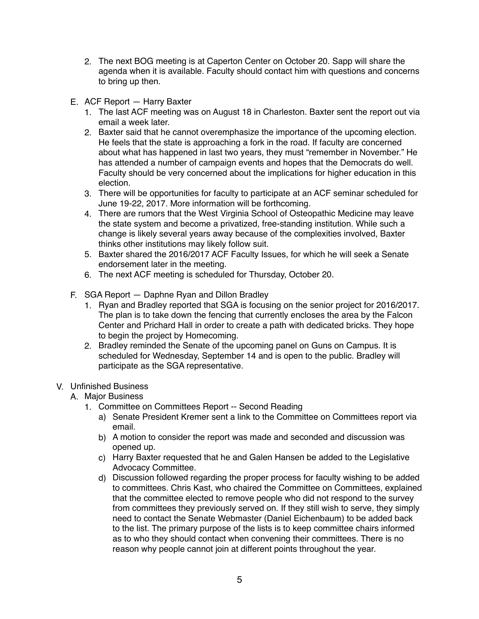- 2. The next BOG meeting is at Caperton Center on October 20. Sapp will share the agenda when it is available. Faculty should contact him with questions and concerns to bring up then.
- E. ACF Report Harry Baxter
	- 1. The last ACF meeting was on August 18 in Charleston. Baxter sent the report out via email a week later.
	- 2. Baxter said that he cannot overemphasize the importance of the upcoming election. He feels that the state is approaching a fork in the road. If faculty are concerned about what has happened in last two years, they must "remember in November." He has attended a number of campaign events and hopes that the Democrats do well. Faculty should be very concerned about the implications for higher education in this election.
	- 3. There will be opportunities for faculty to participate at an ACF seminar scheduled for June 19-22, 2017. More information will be forthcoming.
	- 4. There are rumors that the West Virginia School of Osteopathic Medicine may leave the state system and become a privatized, free-standing institution. While such a change is likely several years away because of the complexities involved, Baxter thinks other institutions may likely follow suit.
	- 5. Baxter shared the 2016/2017 ACF Faculty Issues, for which he will seek a Senate endorsement later in the meeting.
	- 6. The next ACF meeting is scheduled for Thursday, October 20.
- F. SGA Report Daphne Ryan and Dillon Bradley
	- 1. Ryan and Bradley reported that SGA is focusing on the senior project for 2016/2017. The plan is to take down the fencing that currently encloses the area by the Falcon Center and Prichard Hall in order to create a path with dedicated bricks. They hope to begin the project by Homecoming.
	- 2. Bradley reminded the Senate of the upcoming panel on Guns on Campus. It is scheduled for Wednesday, September 14 and is open to the public. Bradley will participate as the SGA representative.

## V. Unfinished Business

- A. Major Business
	- 1. Committee on Committees Report -- Second Reading
		- a) Senate President Kremer sent a link to the Committee on Committees report via email.
		- b) A motion to consider the report was made and seconded and discussion was opened up.
		- c) Harry Baxter requested that he and Galen Hansen be added to the Legislative Advocacy Committee.
		- d) Discussion followed regarding the proper process for faculty wishing to be added to committees. Chris Kast, who chaired the Committee on Committees, explained that the committee elected to remove people who did not respond to the survey from committees they previously served on. If they still wish to serve, they simply need to contact the Senate Webmaster (Daniel Eichenbaum) to be added back to the list. The primary purpose of the lists is to keep committee chairs informed as to who they should contact when convening their committees. There is no reason why people cannot join at different points throughout the year.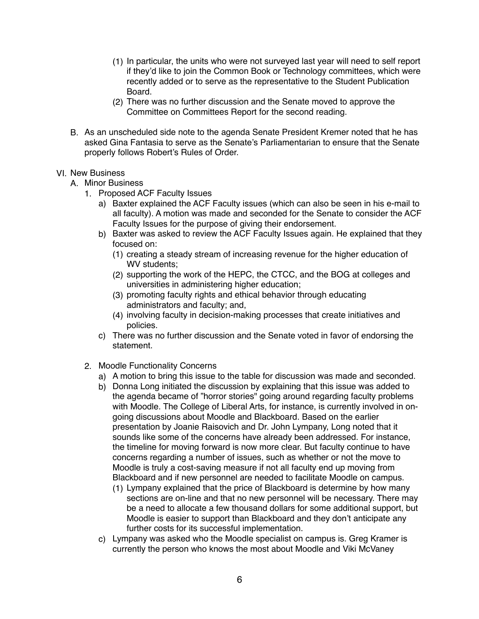- (1) In particular, the units who were not surveyed last year will need to self report if they'd like to join the Common Book or Technology committees, which were recently added or to serve as the representative to the Student Publication Board.
- (2) There was no further discussion and the Senate moved to approve the Committee on Committees Report for the second reading.
- B. As an unscheduled side note to the agenda Senate President Kremer noted that he has asked Gina Fantasia to serve as the Senate's Parliamentarian to ensure that the Senate properly follows Robert's Rules of Order.

## VI. New Business

- A. Minor Business
	- 1. Proposed ACF Faculty Issues
		- a) Baxter explained the ACF Faculty issues (which can also be seen in his e-mail to all faculty). A motion was made and seconded for the Senate to consider the ACF Faculty Issues for the purpose of giving their endorsement.
		- b) Baxter was asked to review the ACF Faculty Issues again. He explained that they focused on:
			- (1) creating a steady stream of increasing revenue for the higher education of WV students:
			- (2) supporting the work of the HEPC, the CTCC, and the BOG at colleges and universities in administering higher education;
			- (3) promoting faculty rights and ethical behavior through educating administrators and faculty; and,
			- (4) involving faculty in decision-making processes that create initiatives and policies.
		- c) There was no further discussion and the Senate voted in favor of endorsing the statement.
	- 2. Moodle Functionality Concerns
		- a) A motion to bring this issue to the table for discussion was made and seconded.
		- b) Donna Long initiated the discussion by explaining that this issue was added to the agenda became of "horror stories" going around regarding faculty problems with Moodle. The College of Liberal Arts, for instance, is currently involved in ongoing discussions about Moodle and Blackboard. Based on the earlier presentation by Joanie Raisovich and Dr. John Lympany, Long noted that it sounds like some of the concerns have already been addressed. For instance, the timeline for moving forward is now more clear. But faculty continue to have concerns regarding a number of issues, such as whether or not the move to Moodle is truly a cost-saving measure if not all faculty end up moving from Blackboard and if new personnel are needed to facilitate Moodle on campus.
			- (1) Lympany explained that the price of Blackboard is determine by how many sections are on-line and that no new personnel will be necessary. There may be a need to allocate a few thousand dollars for some additional support, but Moodle is easier to support than Blackboard and they don't anticipate any further costs for its successful implementation.
		- c) Lympany was asked who the Moodle specialist on campus is. Greg Kramer is currently the person who knows the most about Moodle and Viki McVaney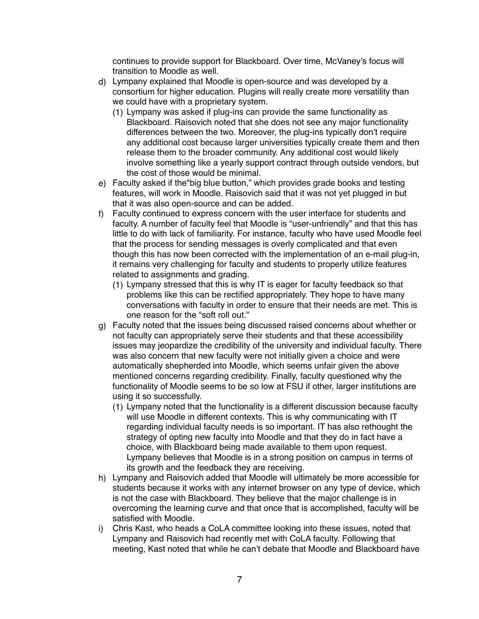continues to provide support for Blackboard. Over time, McVaney's focus will transition to Moodle as well.

- d) Lympany explained that Moodle is open-source and was developed by a consortium for higher education. Plugins will really create more versatility than we could have with a proprietary system.
	- (1) Lympany was asked if plug-ins can provide the same functionality as Blackboard. Raisovich noted that she does not see any major functionality differences between the two. Moreover, the plug-ins typically don't require any additional cost because larger universities typically create them and then release them to the broader community. Any additional cost would likely involve something like a yearly support contract through outside vendors, but the cost of those would be minimal.
- e) Faculty asked if the"big blue button," which provides grade books and testing features, will work in Moodle. Raisovich said that it was not yet plugged in but that it was also open-source and can be added.
- f) Faculty continued to express concern with the user interface for students and faculty. A number of faculty feel that Moodle is "user-unfriendly" and that this has little to do with lack of familiarity. For instance, faculty who have used Moodle feel that the process for sending messages is overly complicated and that even though this has now been corrected with the implementation of an e-mail plug-in, it remains very challenging for faculty and students to properly utilize features related to assignments and grading.
	- (1) Lympany stressed that this is why IT is eager for faculty feedback so that problems like this can be rectified appropriately. They hope to have many conversations with faculty in order to ensure that their needs are met. This is one reason for the "soft roll out."
- g) Faculty noted that the issues being discussed raised concerns about whether or not faculty can appropriately serve their students and that these accessibility issues may jeopardize the credibility of the university and individual faculty. There was also concern that new faculty were not initially given a choice and were automatically shepherded into Moodle, which seems unfair given the above mentioned concerns regarding credibility. Finally, faculty questioned why the functionality of Moodle seems to be so low at FSU if other, larger institutions are using it so successfully.
	- (1) Lympany noted that the functionality is a different discussion because faculty will use Moodle in different contexts. This is why communicating with IT regarding individual faculty needs is so important. IT has also rethought the strategy of opting new faculty into Moodle and that they do in fact have a choice, with Blackboard being made available to them upon request. Lympany believes that Moodle is in a strong position on campus in terms of its growth and the feedback they are receiving.
- h) Lympany and Raisovich added that Moodle will ultimately be more accessible for students because it works with any internet browser on any type of device, which is not the case with Blackboard. They believe that the major challenge is in overcoming the learning curve and that once that is accomplished, faculty will be satisfied with Moodle.
- i) Chris Kast, who heads a CoLA committee looking into these issues, noted that Lympany and Raisovich had recently met with CoLA faculty. Following that meeting, Kast noted that while he can't debate that Moodle and Blackboard have